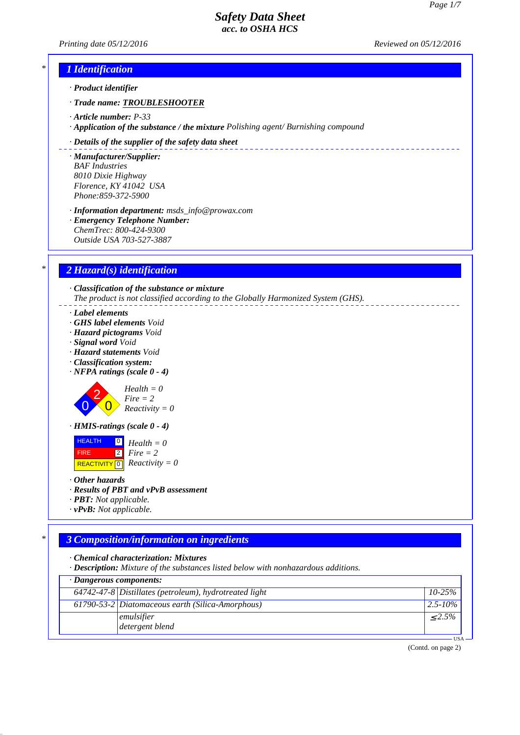*Printing date 05/12/2016 Reviewed on 05/12/2016*

\_\_\_\_\_\_\_\_\_\_\_\_\_\_\_\_\_\_\_\_\_\_\_\_\_\_

## *\* 1 Identification*

*· Product identifier*

- *· Trade name: TROUBLESHOOTER*
- *· Article number: P-33*
- *· Application of the substance / the mixture Polishing agent/ Burnishing compound*

#### *· Details of the supplier of the safety data sheet*

*· Manufacturer/Supplier: BAF Industries 8010 Dixie Highway Florence, KY 41042 USA Phone:859-372-5900*

*· Information department: msds\_info@prowax.com · Emergency Telephone Number: ChemTrec: 800-424-9300 Outside USA 703-527-3887*

### *\* 2 Hazard(s) identification*

*· Classification of the substance or mixture The product is not classified according to the Globally Harmonized System (GHS).*

- *· Label elements*
- *· GHS label elements Void*
- *· Hazard pictograms Void*
- *· Signal word Void*
- *· Hazard statements Void*
- *· Classification system:*
- *· NFPA ratings (scale 0 4)*

2  $\overline{0}$ *Health = 0 Fire = 2 Reactivity = 0*

*· HMIS-ratings (scale 0 - 4)*



*· Other hazards*

0

- *· Results of PBT and vPvB assessment*
- *· PBT: Not applicable.*
- *· vPvB: Not applicable.*

## *\* 3 Composition/information on ingredients*

*· Chemical characterization: Mixtures*

*· Description: Mixture of the substances listed below with nonhazardous additions.*

| $\cdot$ Dangerous components: |                                                        |              |  |  |
|-------------------------------|--------------------------------------------------------|--------------|--|--|
|                               | 64742-47-8 Distillates (petroleum), hydrotreated light | $10 - 25\%$  |  |  |
|                               | 61790-53-2 Diatomaceous earth (Silica-Amorphous)       | $2.5 - 10\%$ |  |  |
|                               | emulsifier                                             | $\leq 2.5\%$ |  |  |
|                               | detergent blend                                        |              |  |  |
| <b>TICA</b>                   |                                                        |              |  |  |

(Contd. on page 2)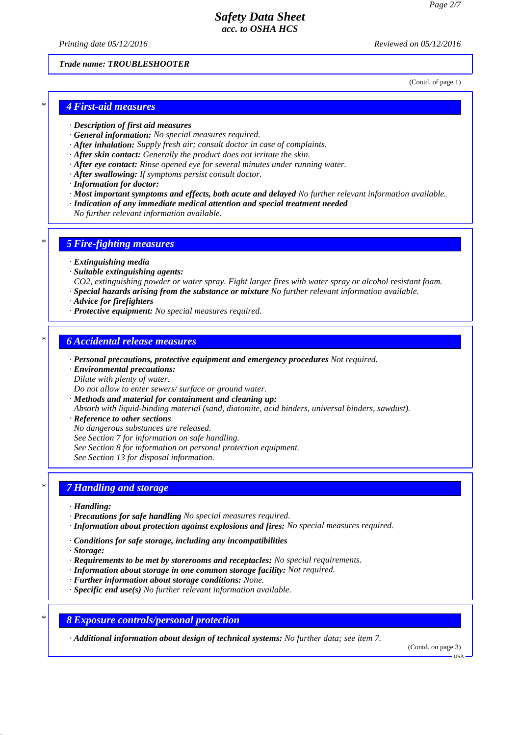*Printing date 05/12/2016 Reviewed on 05/12/2016*

*Trade name: TROUBLESHOOTER*

(Contd. of page 1)

### *\* 4 First-aid measures*

- *· Description of first aid measures*
- *· General information: No special measures required.*
- *· After inhalation: Supply fresh air; consult doctor in case of complaints.*
- *· After skin contact: Generally the product does not irritate the skin.*
- *· After eye contact: Rinse opened eye for several minutes under running water.*
- *· After swallowing: If symptoms persist consult doctor.*
- *· Information for doctor:*
- *· Most important symptoms and effects, both acute and delayed No further relevant information available.*
- *· Indication of any immediate medical attention and special treatment needed*
- *No further relevant information available.*

## *\* 5 Fire-fighting measures*

- *· Extinguishing media*
- *· Suitable extinguishing agents:*
- *CO2, extinguishing powder or water spray. Fight larger fires with water spray or alcohol resistant foam.*
- *· Special hazards arising from the substance or mixture No further relevant information available.*
- *· Advice for firefighters*
- *· Protective equipment: No special measures required.*

#### *\* 6 Accidental release measures*

- *· Personal precautions, protective equipment and emergency procedures Not required.*
- *· Environmental precautions:*
- *Dilute with plenty of water.*

*Do not allow to enter sewers/ surface or ground water.*

- *· Methods and material for containment and cleaning up:*
- *Absorb with liquid-binding material (sand, diatomite, acid binders, universal binders, sawdust).*
- *· Reference to other sections*
- *No dangerous substances are released.*
- *See Section 7 for information on safe handling.*
- *See Section 8 for information on personal protection equipment.*
- *See Section 13 for disposal information.*

## *\* 7 Handling and storage*

- *· Handling:*
- *· Precautions for safe handling No special measures required.*
- *· Information about protection against explosions and fires: No special measures required.*
- *· Conditions for safe storage, including any incompatibilities*
- *· Storage:*
- *· Requirements to be met by storerooms and receptacles: No special requirements.*
- *· Information about storage in one common storage facility: Not required.*
- *· Further information about storage conditions: None.*
- *· Specific end use(s) No further relevant information available.*
- *\* 8 Exposure controls/personal protection*

*· Additional information about design of technical systems: No further data; see item 7.*

(Contd. on page 3)

USA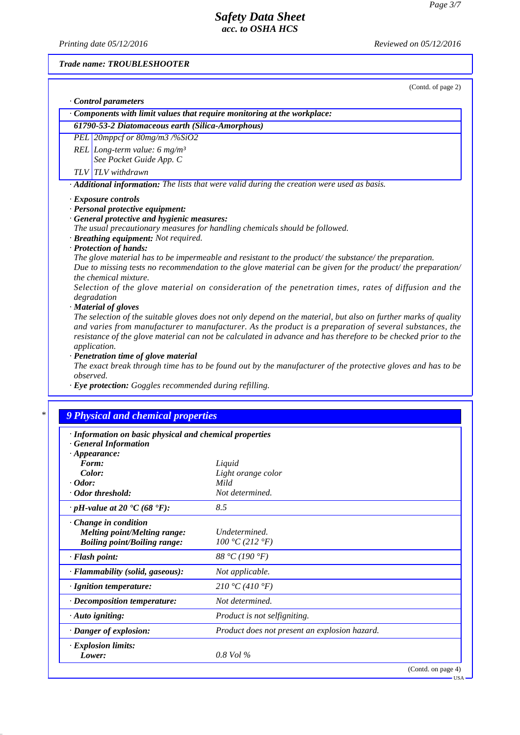*Printing date 05/12/2016 Reviewed on 05/12/2016*

*Trade name: TROUBLESHOOTER*

(Contd. of page 2)

|  |  | Control parameters |
|--|--|--------------------|
|--|--|--------------------|

*· Components with limit values that require monitoring at the workplace:*

*61790-53-2 Diatomaceous earth (Silica-Amorphous)*

*PEL 20mppcf or 80mg/m3 /%SiO2*

*REL Long-term value: 6 mg/m³ See Pocket Guide App. C*

*TLV TLV withdrawn*

*· Additional information: The lists that were valid during the creation were used as basis.*

*· Exposure controls*

- *· Personal protective equipment:*
- *· General protective and hygienic measures:*

*The usual precautionary measures for handling chemicals should be followed.*

- *· Breathing equipment: Not required.*
- *· Protection of hands:*

*The glove material has to be impermeable and resistant to the product/ the substance/ the preparation. Due to missing tests no recommendation to the glove material can be given for the product/ the preparation/ the chemical mixture.*

*Selection of the glove material on consideration of the penetration times, rates of diffusion and the degradation*

*· Material of gloves*

*The selection of the suitable gloves does not only depend on the material, but also on further marks of quality and varies from manufacturer to manufacturer. As the product is a preparation of several substances, the resistance of the glove material can not be calculated in advance and has therefore to be checked prior to the application.*

*· Penetration time of glove material*

*The exact break through time has to be found out by the manufacturer of the protective gloves and has to be observed.*

*· Eye protection: Goggles recommended during refilling.*

## *\* 9 Physical and chemical properties*

- *· Information on basic physical and chemical properties*
- *· General Information · Appearance:*

| $\cdot$ Appearance:                                          |                                               |
|--------------------------------------------------------------|-----------------------------------------------|
| Form:                                                        | Liquid                                        |
| Color:                                                       | Light orange color                            |
| $\cdot$ Odor:                                                | Mild                                          |
| · Odor threshold:                                            | Not determined.                               |
| $\cdot$ pH-value at 20 $\textdegree$ C (68 $\textdegree$ F): | 8.5                                           |
| $\cdot$ Change in condition                                  |                                               |
| <b>Melting point/Melting range:</b>                          | Undetermined.                                 |
| <b>Boiling point/Boiling range:</b>                          | 100 °C (212 °F)                               |
| $\cdot$ Flash point:                                         | 88 °C (190 °F)                                |
| $\cdot$ Flammability (solid, gaseous):                       | Not applicable.                               |
| · Ignition temperature:                                      | 210 °C (410 °F)                               |
| $\cdot$ Decomposition temperature:                           | Not determined.                               |
| $\cdot$ Auto igniting:                                       | <i>Product is not selfigniting.</i>           |
| $\cdot$ Danger of explosion:                                 | Product does not present an explosion hazard. |
| $\cdot$ Explosion limits:                                    |                                               |
| Lower:                                                       | $0.8$ Vol $\%$                                |
|                                                              | (Contd. on page 4)                            |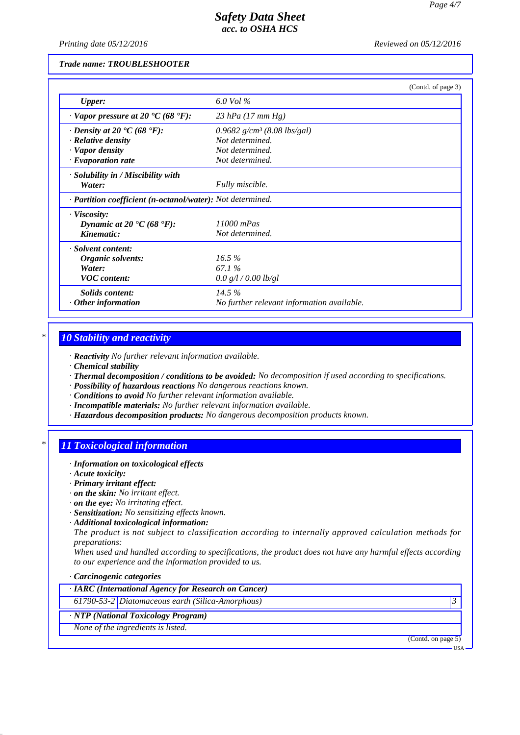*Printing date 05/12/2016 Reviewed on 05/12/2016*

*Trade name: TROUBLESHOOTER*

|                                                            | (Contd. of page 3)                         |  |
|------------------------------------------------------------|--------------------------------------------|--|
| <b>Upper:</b>                                              | 6.0 Vol $\%$                               |  |
| $\cdot$ Vapor pressure at 20 °C (68 °F):                   | 23 hPa $(17 \, \text{mm Hg})$              |  |
| $\cdot$ Density at 20 $\cdot$ C (68 $\cdot$ F):            | 0.9682 $g/cm^3$ (8.08 lbs/gal)             |  |
| $\cdot$ Relative density                                   | Not determined.                            |  |
| · Vapor density                                            | Not determined.                            |  |
| $\cdot$ Evaporation rate                                   | Not determined.                            |  |
| · Solubility in / Miscibility with                         |                                            |  |
| Water:                                                     | Fully miscible.                            |  |
| · Partition coefficient (n-octanol/water): Not determined. |                                            |  |
| $\cdot$ Viscosity:                                         |                                            |  |
| Dynamic at 20 $\textdegree$ C (68 $\textdegree$ F):        | $11000$ mPas                               |  |
| Kinematic:                                                 | Not determined.                            |  |
| · Solvent content:                                         |                                            |  |
| Organic solvents:                                          | $16.5\%$                                   |  |
| Water:                                                     | 67.1 %                                     |  |
| <b>VOC</b> content:                                        | 0.0 g/l / 0.00 lb/gl                       |  |
| Solids content:                                            | 14.5%                                      |  |
| $\cdot$ Other information                                  | No further relevant information available. |  |

### *\* 10 Stability and reactivity*

*· Reactivity No further relevant information available.*

- *· Chemical stability*
- *· Thermal decomposition / conditions to be avoided: No decomposition if used according to specifications.*
- *· Possibility of hazardous reactions No dangerous reactions known.*
- *· Conditions to avoid No further relevant information available.*
- *· Incompatible materials: No further relevant information available.*
- *· Hazardous decomposition products: No dangerous decomposition products known.*

## *\* 11 Toxicological information*

- *· Information on toxicological effects*
- *· Acute toxicity:*
- *· Primary irritant effect:*
- *· on the skin: No irritant effect.*
- *· on the eye: No irritating effect.*
- *· Sensitization: No sensitizing effects known.*
- *· Additional toxicological information:*

*The product is not subject to classification according to internally approved calculation methods for preparations:*

*When used and handled according to specifications, the product does not have any harmful effects according to our experience and the information provided to us.*

#### *· Carcinogenic categories*

*· IARC (International Agency for Research on Cancer)*

*61790-53-2 Diatomaceous earth (Silica-Amorphous) 3* 

## *· NTP (National Toxicology Program)*

*None of the ingredients is listed.*

(Contd. on page 5)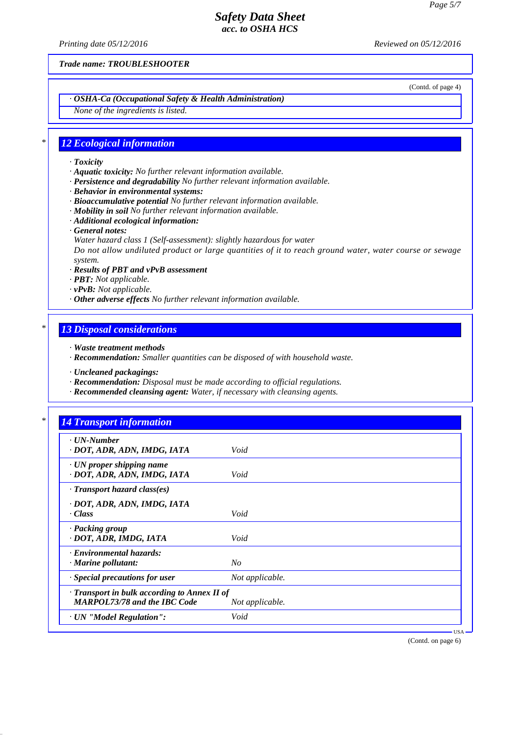*Printing date 05/12/2016 Reviewed on 05/12/2016*

*Trade name: TROUBLESHOOTER*

(Contd. of page 4)

## *· OSHA-Ca (Occupational Safety & Health Administration)*

*None of the ingredients is listed.*

#### *\* 12 Ecological information*

#### *· Toxicity*

- *· Aquatic toxicity: No further relevant information available.*
- *· Persistence and degradability No further relevant information available.*
- *· Behavior in environmental systems:*
- *· Bioaccumulative potential No further relevant information available.*
- *· Mobility in soil No further relevant information available.*
- *· Additional ecological information:*
- *· General notes:*
- *Water hazard class 1 (Self-assessment): slightly hazardous for water*

*Do not allow undiluted product or large quantities of it to reach ground water, water course or sewage system.*

- *· Results of PBT and vPvB assessment*
- *· PBT: Not applicable.*
- *· vPvB: Not applicable.*
- *· Other adverse effects No further relevant information available.*

### *\* 13 Disposal considerations*

- *· Waste treatment methods*
- *· Recommendation: Smaller quantities can be disposed of with household waste.*
- *· Uncleaned packagings:*
- *· Recommendation: Disposal must be made according to official regulations.*
- *· Recommended cleansing agent: Water, if necessary with cleansing agents.*

## *\* 14 Transport information*

| $\cdot$ UN-Number<br>· DOT, ADR, ADN, IMDG, IATA                                    | Void            |         |
|-------------------------------------------------------------------------------------|-----------------|---------|
| $\cdot$ UN proper shipping name<br>· DOT, ADR, ADN, IMDG, IATA                      | Void            |         |
| $\cdot$ Transport hazard class(es)                                                  |                 |         |
| · DOT, ADR, ADN, IMDG, IATA<br>· Class                                              | Void            |         |
| · Packing group<br>· DOT, ADR, IMDG, IATA                                           | Void            |         |
| · Environmental hazards:<br>$\cdot$ Marine pollutant:                               | $N_{O}$         |         |
| · Special precautions for user                                                      | Not applicable. |         |
| · Transport in bulk according to Annex II of<br><b>MARPOL73/78 and the IBC Code</b> | Not applicable. |         |
| · UN "Model Regulation":                                                            | Void            |         |
|                                                                                     |                 | $USA -$ |

(Contd. on page 6)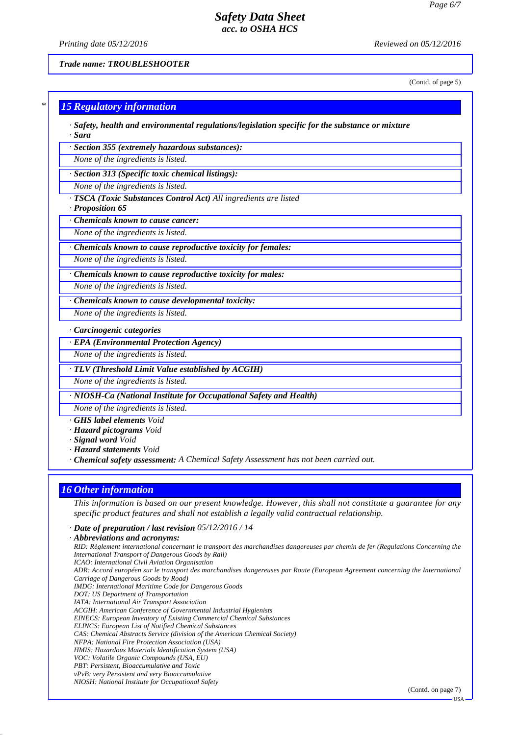*Printing date 05/12/2016 Reviewed on 05/12/2016*

*Trade name: TROUBLESHOOTER*

(Contd. of page 5)

 $-<sup>T</sup>$ ISA

# *\* 15 Regulatory information · Safety, health and environmental regulations/legislation specific for the substance or mixture · Sara · Section 355 (extremely hazardous substances): None of the ingredients is listed. · Section 313 (Specific toxic chemical listings): None of the ingredients is listed. · TSCA (Toxic Substances Control Act) All ingredients are listed · Proposition 65 · Chemicals known to cause cancer: None of the ingredients is listed. · Chemicals known to cause reproductive toxicity for females: None of the ingredients is listed. · Chemicals known to cause reproductive toxicity for males: None of the ingredients is listed. · Chemicals known to cause developmental toxicity: None of the ingredients is listed. · Carcinogenic categories · EPA (Environmental Protection Agency) None of the ingredients is listed. · TLV (Threshold Limit Value established by ACGIH) None of the ingredients is listed. · NIOSH-Ca (National Institute for Occupational Safety and Health) None of the ingredients is listed.*

*· GHS label elements Void*

*· Hazard pictograms Void*

*· Signal word Void*

*· Hazard statements Void*

*· Chemical safety assessment: A Chemical Safety Assessment has not been carried out.*

## *16 Other information*

*This information is based on our present knowledge. However, this shall not constitute a guarantee for any specific product features and shall not establish a legally valid contractual relationship.*

*· Date of preparation / last revision 05/12/2016 / 14*

*· Abbreviations and acronyms: RID: Règlement international concernant le transport des marchandises dangereuses par chemin de fer (Regulations Concerning the International Transport of Dangerous Goods by Rail) ICAO: International Civil Aviation Organisation ADR: Accord européen sur le transport des marchandises dangereuses par Route (European Agreement concerning the International Carriage of Dangerous Goods by Road) IMDG: International Maritime Code for Dangerous Goods DOT: US Department of Transportation IATA: International Air Transport Association ACGIH: American Conference of Governmental Industrial Hygienists EINECS: European Inventory of Existing Commercial Chemical Substances ELINCS: European List of Notified Chemical Substances CAS: Chemical Abstracts Service (division of the American Chemical Society) NFPA: National Fire Protection Association (USA) HMIS: Hazardous Materials Identification System (USA) VOC: Volatile Organic Compounds (USA, EU) PBT: Persistent, Bioaccumulative and Toxic vPvB: very Persistent and very Bioaccumulative NIOSH: National Institute for Occupational Safety* (Contd. on page 7)